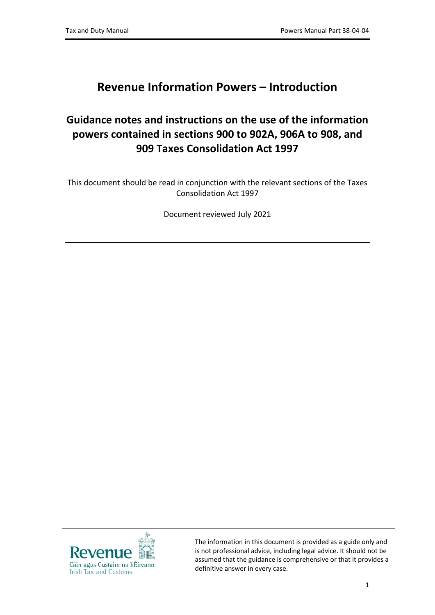## **Revenue Information Powers – Introduction**

## **Guidance notes and instructions on the use of the information powers contained in sections 900 to 902A, 906A to 908, and 909 Taxes Consolidation Act 1997**

This document should be read in conjunction with the relevant sections of the Taxes Consolidation Act 1997

Document reviewed July 2021



The information in this document is provided as a guide only and is not professional advice, including legal advice. It should not be assumed that the guidance is comprehensive or that it provides a definitive answer in every case.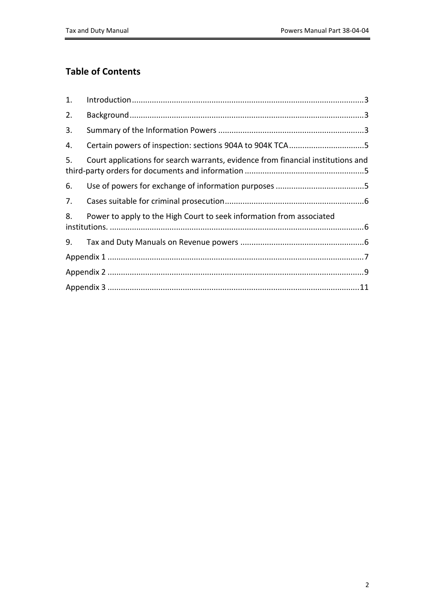#### **Table of Contents**

| 1. |                                                                                  |  |
|----|----------------------------------------------------------------------------------|--|
| 2. |                                                                                  |  |
| 3. |                                                                                  |  |
| 4. | Certain powers of inspection: sections 904A to 904K TCA5                         |  |
| 5. | Court applications for search warrants, evidence from financial institutions and |  |
| 6. |                                                                                  |  |
| 7. |                                                                                  |  |
| 8. | Power to apply to the High Court to seek information from associated             |  |
| 9. |                                                                                  |  |
|    |                                                                                  |  |
|    |                                                                                  |  |
|    |                                                                                  |  |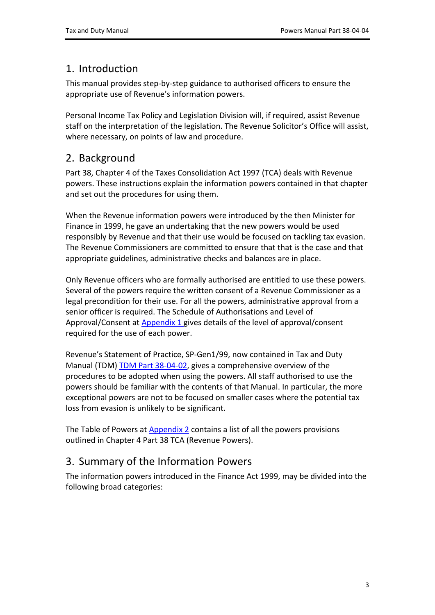#### <span id="page-2-0"></span>1. Introduction

This manual provides step-by-step guidance to authorised officers to ensure the appropriate use of Revenue's information powers.

Personal Income Tax Policy and Legislation Division will, if required, assist Revenue staff on the interpretation of the legislation. The Revenue Solicitor's Office will assist, where necessary, on points of law and procedure.

### <span id="page-2-1"></span>2. Background

Part 38, Chapter 4 of the Taxes Consolidation Act 1997 (TCA) deals with Revenue powers. These instructions explain the information powers contained in that chapter and set out the procedures for using them.

When the Revenue information powers were introduced by the then Minister for Finance in 1999, he gave an undertaking that the new powers would be used responsibly by Revenue and that their use would be focused on tackling tax evasion. The Revenue Commissioners are committed to ensure that that is the case and that appropriate guidelines, administrative checks and balances are in place.

Only Revenue officers who are formally authorised are entitled to use these powers. Several of the powers require the written consent of a Revenue Commissioner as a legal precondition for their use. For all the powers, administrative approval from a senior officer is required. The Schedule of Authorisations and Level of Approval/Consent at **[Appendix](#page-6-0) [1](#page-6-0)** gives details of the level of approval/consent required for the use of each power.

Revenue's Statement of Practice, SP-Gen1/99, now contained in Tax and Duty Manual (TDM) [TDM](https://www.revenue.ie/en/tax-professionals/tdm/powers/38-04-02.pdf) [Part](https://www.revenue.ie/en/tax-professionals/tdm/powers/38-04-02.pdf) [38-04-02](https://www.revenue.ie/en/tax-professionals/tdm/powers/38-04-02.pdf), gives a comprehensive overview of the procedures to be adopted when using the powers. All staff authorised to use the powers should be familiar with the contents of that Manual. In particular, the more exceptional powers are not to be focused on smaller cases where the potential tax loss from evasion is unlikely to be significant.

The Table of Powers at [Appendix](#page-8-1) [2](#page-8-1) contains a list of all the powers provisions outlined in Chapter 4 Part 38 TCA (Revenue Powers).

#### <span id="page-2-2"></span>3. Summary of the Information Powers

The information powers introduced in the Finance Act 1999, may be divided into the following broad categories: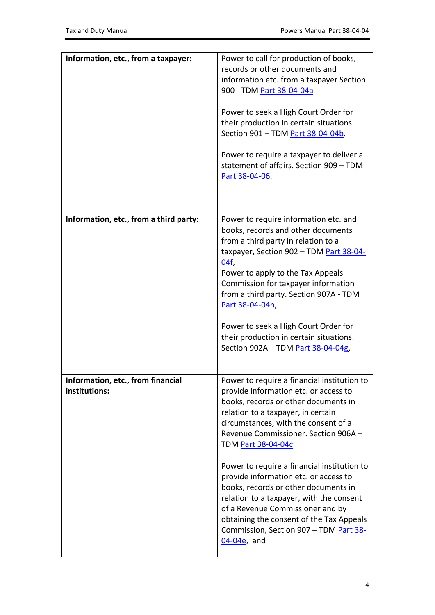| Information, etc., from a taxpayer:                | Power to call for production of books,<br>records or other documents and<br>information etc. from a taxpayer Section<br>900 - TDM Part 38-04-04a<br>Power to seek a High Court Order for<br>their production in certain situations.<br>Section 901 - TDM Part 38-04-04b.<br>Power to require a taxpayer to deliver a<br>statement of affairs. Section 909 - TDM<br>Part 38-04-06.                                                                                                                                                                                                                    |
|----------------------------------------------------|------------------------------------------------------------------------------------------------------------------------------------------------------------------------------------------------------------------------------------------------------------------------------------------------------------------------------------------------------------------------------------------------------------------------------------------------------------------------------------------------------------------------------------------------------------------------------------------------------|
| Information, etc., from a third party:             | Power to require information etc. and<br>books, records and other documents<br>from a third party in relation to a<br>taxpayer, Section 902 - TDM Part 38-04-<br>04f,<br>Power to apply to the Tax Appeals<br>Commission for taxpayer information<br>from a third party. Section 907A - TDM<br>Part 38-04-04h,<br>Power to seek a High Court Order for<br>their production in certain situations.<br>Section 902A - TDM Part 38-04-04g,                                                                                                                                                              |
| Information, etc., from financial<br>institutions: | Power to require a financial institution to<br>provide information etc. or access to<br>books, records or other documents in<br>relation to a taxpayer, in certain<br>circumstances, with the consent of a<br>Revenue Commissioner. Section 906A -<br><b>TDM Part 38-04-04c</b><br>Power to require a financial institution to<br>provide information etc. or access to<br>books, records or other documents in<br>relation to a taxpayer, with the consent<br>of a Revenue Commissioner and by<br>obtaining the consent of the Tax Appeals<br>Commission, Section 907 - TDM Part 38-<br>04-04e, and |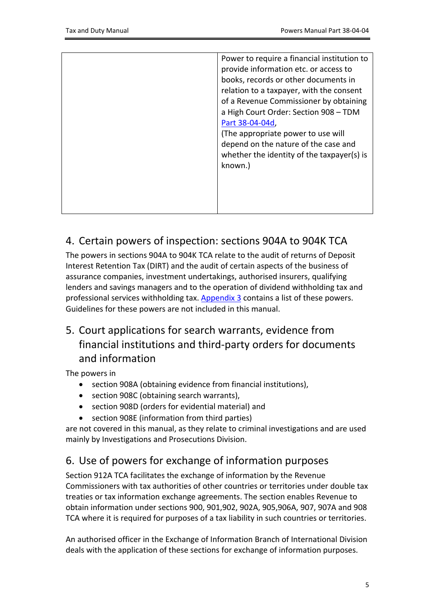| Power to require a financial institution to |
|---------------------------------------------|
| provide information etc. or access to       |
| books, records or other documents in        |
| relation to a taxpayer, with the consent    |
| of a Revenue Commissioner by obtaining      |
| a High Court Order: Section 908 - TDM       |
| Part 38-04-04d,                             |
| (The appropriate power to use will          |
| depend on the nature of the case and        |
| whether the identity of the taxpayer(s) is  |
| known.)                                     |
|                                             |
|                                             |
|                                             |
|                                             |
|                                             |

### <span id="page-4-0"></span>4. Certain powers of inspection: sections 904A to 904K TCA

The powers in sections 904A to 904K TCA relate to the audit of returns of Deposit Interest Retention Tax (DIRT) and the audit of certain aspects of the business of assurance companies, investment undertakings, authorised insurers, qualifying lenders and savings managers and to the operation of dividend withholding tax and professional services withholding tax. [Appendix](#page-10-0) [3](#page-10-0) contains a list of these powers. Guidelines for these powers are not included in this manual.

# <span id="page-4-1"></span>5. Court applications for search warrants, evidence from financial institutions and third-party orders for documents and information

The powers in

- section 908A (obtaining evidence from financial institutions),
- section 908C (obtaining search warrants),
- section 908D (orders for evidential material) and
- section 908E (information from third parties)

are not covered in this manual, as they relate to criminal investigations and are used mainly by Investigations and Prosecutions Division.

# <span id="page-4-2"></span>6. Use of powers for exchange of information purposes

Section 912A TCA facilitates the exchange of information by the Revenue Commissioners with tax authorities of other countries or territories under double tax treaties or tax information exchange agreements. The section enables Revenue to obtain information under sections 900, 901,902, 902A, 905,906A, 907, 907A and 908 TCA where it is required for purposes of a tax liability in such countries or territories.

An authorised officer in the Exchange of Information Branch of International Division deals with the application of these sections for exchange of information purposes.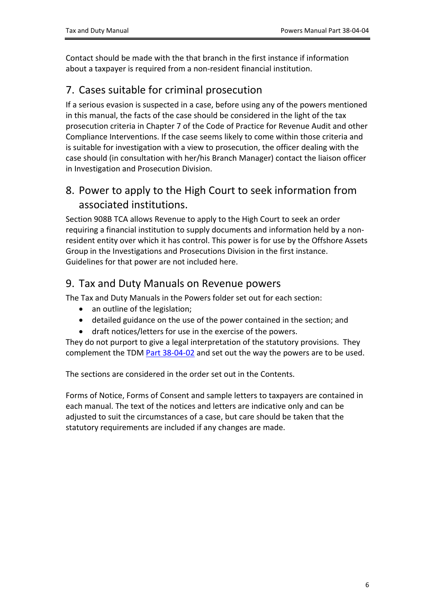Contact should be made with the that branch in the first instance if information about a taxpayer is required from a non-resident financial institution.

### <span id="page-5-0"></span>7. Cases suitable for criminal prosecution

If a serious evasion is suspected in a case, before using any of the powers mentioned in this manual, the facts of the case should be considered in the light of the tax prosecution criteria in Chapter 7 of the Code of Practice for Revenue Audit and other Compliance Interventions. If the case seems likely to come within those criteria and is suitable for investigation with a view to prosecution, the officer dealing with the case should (in consultation with her/his Branch Manager) contact the liaison officer in Investigation and Prosecution Division.

#### <span id="page-5-1"></span>8. Power to apply to the High Court to seek information from associated institutions.

Section 908B TCA allows Revenue to apply to the High Court to seek an order requiring a financial institution to supply documents and information held by a nonresident entity over which it has control. This power is for use by the Offshore Assets Group in the Investigations and Prosecutions Division in the first instance. Guidelines for that power are not included here.

#### <span id="page-5-2"></span>9. Tax and Duty Manuals on Revenue powers

The Tax and Duty Manuals in the Powers folder set out for each section:

- an outline of the legislation;
- detailed guidance on the use of the power contained in the section; and
- draft notices/letters for use in the exercise of the powers.

They do not purport to give a legal interpretation of the statutory provisions. They complement the TDM [Part](https://www.revenue.ie/en/tax-professionals/tdm/powers/38-04-02.pdf) [38-04-02](https://www.revenue.ie/en/tax-professionals/tdm/powers/38-04-02.pdf) and set out the way the powers are to be used.

The sections are considered in the order set out in the Contents.

Forms of Notice, Forms of Consent and sample letters to taxpayers are contained in each manual. The text of the notices and letters are indicative only and can be adjusted to suit the circumstances of a case, but care should be taken that the statutory requirements are included if any changes are made.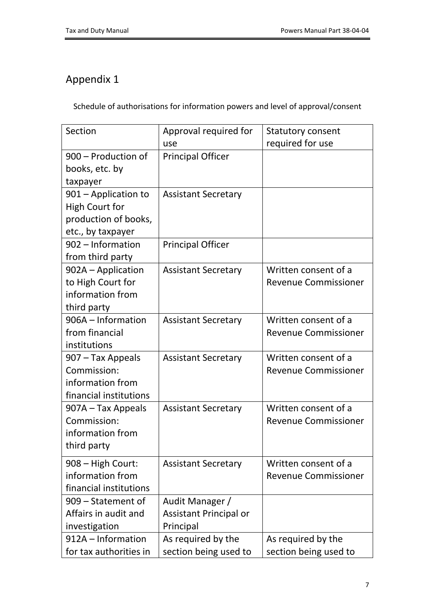# <span id="page-6-0"></span>Appendix 1

Schedule of authorisations for information powers and level of approval/consent

| Section                | Approval required for         | <b>Statutory consent</b>    |
|------------------------|-------------------------------|-----------------------------|
|                        | use                           | required for use            |
| 900 - Production of    | <b>Principal Officer</b>      |                             |
| books, etc. by         |                               |                             |
| taxpayer               |                               |                             |
| 901 – Application to   | <b>Assistant Secretary</b>    |                             |
| <b>High Court for</b>  |                               |                             |
| production of books,   |                               |                             |
| etc., by taxpayer      |                               |                             |
| 902 - Information      | <b>Principal Officer</b>      |                             |
| from third party       |                               |                             |
| 902A – Application     | <b>Assistant Secretary</b>    | Written consent of a        |
| to High Court for      |                               | <b>Revenue Commissioner</b> |
| information from       |                               |                             |
| third party            |                               |                             |
| 906A - Information     | <b>Assistant Secretary</b>    | Written consent of a        |
| from financial         |                               | <b>Revenue Commissioner</b> |
| institutions           |                               |                             |
| 907 – Tax Appeals      | <b>Assistant Secretary</b>    | Written consent of a        |
| Commission:            |                               | <b>Revenue Commissioner</b> |
| information from       |                               |                             |
| financial institutions |                               |                             |
| 907A – Tax Appeals     | <b>Assistant Secretary</b>    | Written consent of a        |
| Commission:            |                               | <b>Revenue Commissioner</b> |
| information from       |                               |                             |
| third party            |                               |                             |
| 908 - High Court:      | <b>Assistant Secretary</b>    | Written consent of a        |
| information from       |                               | <b>Revenue Commissioner</b> |
| financial institutions |                               |                             |
| 909 – Statement of     | Audit Manager /               |                             |
| Affairs in audit and   | <b>Assistant Principal or</b> |                             |
| investigation          | Principal                     |                             |
| 912A - Information     | As required by the            | As required by the          |
| for tax authorities in | section being used to         | section being used to       |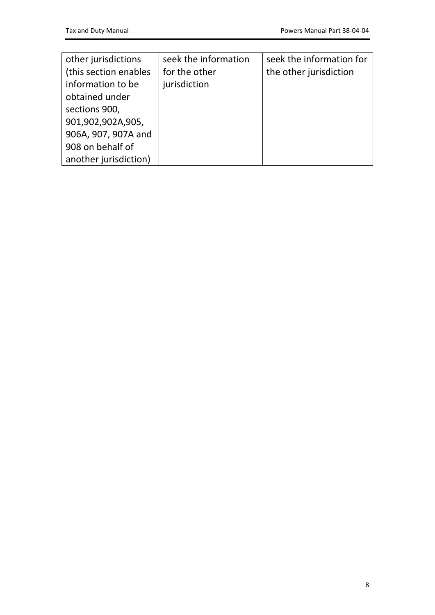| other jurisdictions   | seek the information | seek the information for |
|-----------------------|----------------------|--------------------------|
| (this section enables | for the other        | the other jurisdiction   |
| information to be     | jurisdiction         |                          |
| obtained under        |                      |                          |
| sections 900,         |                      |                          |
| 901,902,902A,905,     |                      |                          |
| 906A, 907, 907A and   |                      |                          |
| 908 on behalf of      |                      |                          |
| another jurisdiction) |                      |                          |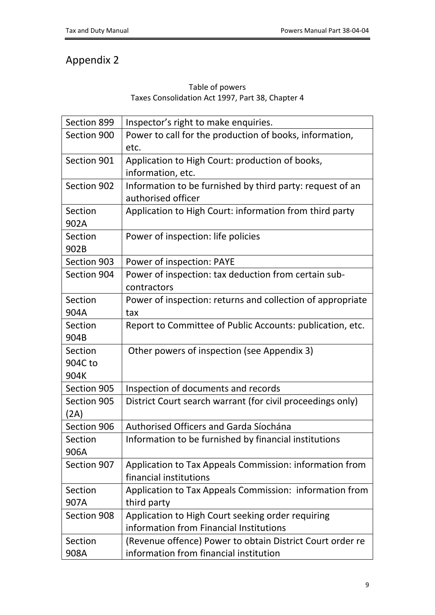# <span id="page-8-0"></span>Appendix 2

#### <span id="page-8-1"></span>Table of powers Taxes Consolidation Act 1997, Part 38, Chapter 4

| Section 899 | Inspector's right to make enquiries.                       |
|-------------|------------------------------------------------------------|
| Section 900 | Power to call for the production of books, information,    |
|             | etc.                                                       |
| Section 901 | Application to High Court: production of books,            |
|             | information, etc.                                          |
| Section 902 | Information to be furnished by third party: request of an  |
|             | authorised officer                                         |
| Section     | Application to High Court: information from third party    |
| 902A        |                                                            |
| Section     | Power of inspection: life policies                         |
| 902B        |                                                            |
| Section 903 | Power of inspection: PAYE                                  |
| Section 904 | Power of inspection: tax deduction from certain sub-       |
|             | contractors                                                |
| Section     | Power of inspection: returns and collection of appropriate |
| 904A        | tax                                                        |
| Section     | Report to Committee of Public Accounts: publication, etc.  |
| 904B        |                                                            |
| Section     | Other powers of inspection (see Appendix 3)                |
| 904C to     |                                                            |
| 904K        |                                                            |
| Section 905 | Inspection of documents and records                        |
| Section 905 | District Court search warrant (for civil proceedings only) |
| (2A)        |                                                            |
| Section 906 | Authorised Officers and Garda Síochána                     |
| Section     | Information to be furnished by financial institutions      |
| 906A        |                                                            |
| Section 907 | Application to Tax Appeals Commission: information from    |
|             | financial institutions                                     |
| Section     | Application to Tax Appeals Commission: information from    |
| 907A        | third party                                                |
| Section 908 | Application to High Court seeking order requiring          |
|             | information from Financial Institutions                    |
| Section     | (Revenue offence) Power to obtain District Court order re  |
| 908A        | information from financial institution                     |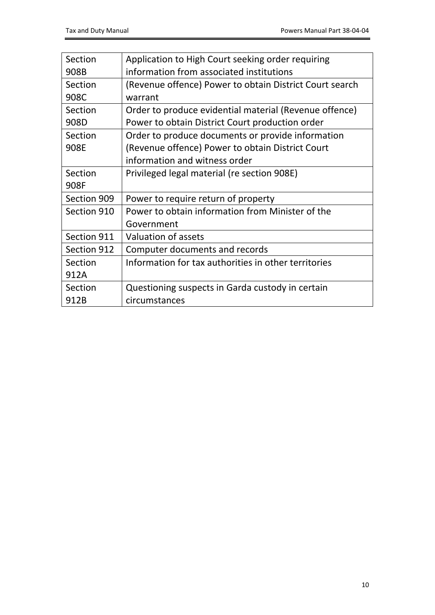| Section     | Application to High Court seeking order requiring       |
|-------------|---------------------------------------------------------|
| 908B        | information from associated institutions                |
| Section     | (Revenue offence) Power to obtain District Court search |
| 908C        | warrant                                                 |
| Section     | Order to produce evidential material (Revenue offence)  |
| 908D        | Power to obtain District Court production order         |
| Section     | Order to produce documents or provide information       |
| 908E        | (Revenue offence) Power to obtain District Court        |
|             | information and witness order                           |
| Section     | Privileged legal material (re section 908E)             |
| 908F        |                                                         |
| Section 909 | Power to require return of property                     |
| Section 910 | Power to obtain information from Minister of the        |
|             | Government                                              |
| Section 911 | <b>Valuation of assets</b>                              |
| Section 912 | Computer documents and records                          |
| Section     | Information for tax authorities in other territories    |
| 912A        |                                                         |
| Section     | Questioning suspects in Garda custody in certain        |
| 912B        | circumstances                                           |